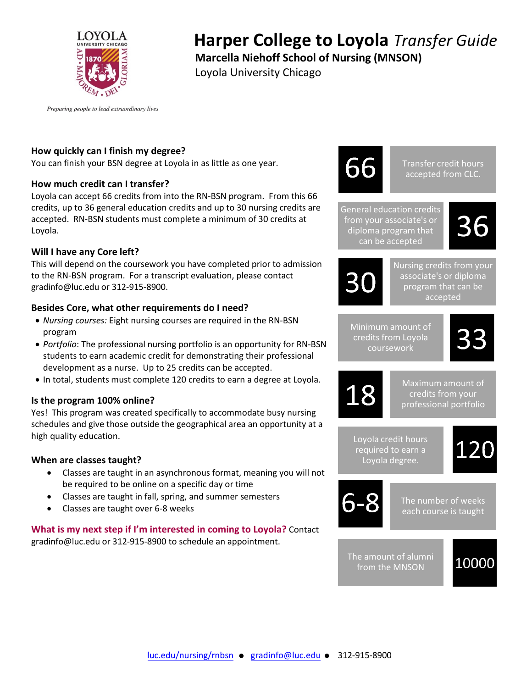

# **Harper College to Loyola** *Transfer Guide*

**Marcella Niehoff School of Nursing (MNSON)**

Loyola University Chicago

Preparing people to lead extraordinary lives

# **How quickly can I finish my degree?**

You can finish your BSN degree at Loyola in as little as one year.

## **How much credit can I transfer?**

Loyola can accept 66 credits from into the RN-BSN program. From this 66 credits, up to 36 general education credits and up to 30 nursing credits are accepted. RN-BSN students must complete a minimum of 30 credits at Loyola.

## **Will I have any Core left?**

This will depend on the coursework you have completed prior to admission to the RN-BSN program. For a transcript evaluation, please contact gradinfo@luc.edu or 312-915-8900.

## **Besides Core, what other requirements do I need?**

- *Nursing courses:* Eight nursing courses are required in the RN-BSN program
- *Portfolio*: The professional nursing portfolio is an opportunity for RN-BSN students to earn academic credit for demonstrating their professional development as a nurse. Up to 25 credits can be accepted.
- In total, students must complete 120 credits to earn a degree at Loyola.

## **Is the program 100% online?**

Yes! This program was created specifically to accommodate busy nursing schedules and give those outside the geographical area an opportunity at a high quality education.

## **When are classes taught?**

- Classes are taught in an asynchronous format, meaning you will not be required to be online on a specific day or time
- Classes are taught in fall, spring, and summer semesters
- Classes are taught over 6-8 weeks

#### **What is my next step if I'm interested in coming to Loyola?** Contact gradinfo@luc.edu or 312-915-8900 to schedule an appointment.